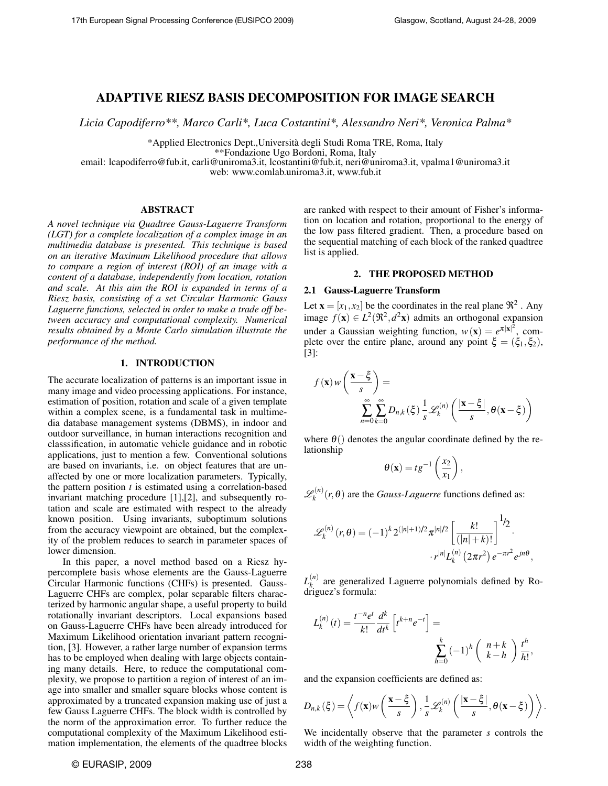# ADAPTIVE RIESZ BASIS DECOMPOSITION FOR IMAGE SEARCH

*Licia Capodiferro\*\*, Marco Carli\*, Luca Costantini\*, Alessandro Neri\*, Veronica Palma\**

\*Applied Electronics Dept.,Universita degli Studi Roma TRE, Roma, Italy `

\*\*Fondazione Ugo Bordoni, Roma, Italy

email: lcapodiferro@fub.it, carli@uniroma3.it, lcostantini@fub.it, neri@uniroma3.it, vpalma1@uniroma3.it

web: www.comlab.uniroma3.it, www.fub.it

#### ABSTRACT

*A novel technique via Quadtree Gauss-Laguerre Transform (LGT) for a complete localization of a complex image in an multimedia database is presented. This technique is based on an iterative Maximum Likelihood procedure that allows to compare a region of interest (ROI) of an image with a content of a database, independently from location, rotation and scale. At this aim the ROI is expanded in terms of a Riesz basis, consisting of a set Circular Harmonic Gauss Laguerre functions, selected in order to make a trade off between accuracy and computational complexity. Numerical results obtained by a Monte Carlo simulation illustrate the performance of the method.*

#### 1. INTRODUCTION

The accurate localization of patterns is an important issue in many image and video processing applications. For instance, estimation of position, rotation and scale of a given template within a complex scene, is a fundamental task in multimedia database management systems (DBMS), in indoor and outdoor surveillance, in human interactions recognition and classsification, in automatic vehicle guidance and in robotic applications, just to mention a few. Conventional solutions are based on invariants, i.e. on object features that are unaffected by one or more localization parameters. Typically, the pattern position *t* is estimated using a correlation-based invariant matching procedure [1],[2], and subsequently rotation and scale are estimated with respect to the already known position. Using invariants, suboptimum solutions from the accuracy viewpoint are obtained, but the complexity of the problem reduces to search in parameter spaces of lower dimension.

In this paper, a novel method based on a Riesz hypercomplete basis whose elements are the Gauss-Laguerre Circular Harmonic functions (CHFs) is presented. Gauss-Laguerre CHFs are complex, polar separable filters characterized by harmonic angular shape, a useful property to build rotationally invariant descriptors. Local expansions based on Gauss-Laguerre CHFs have been already introduced for Maximum Likelihood orientation invariant pattern recognition, [3]. However, a rather large number of expansion terms has to be employed when dealing with large objects containing many details. Here, to reduce the computational complexity, we propose to partition a region of interest of an image into smaller and smaller square blocks whose content is approximated by a truncated expansion making use of just a few Gauss Laguerre CHFs. The block width is controlled by the norm of the approximation error. To further reduce the computational complexity of the Maximum Likelihood estimation implementation, the elements of the quadtree blocks

are ranked with respect to their amount of Fisher's information on location and rotation, proportional to the energy of the low pass filtered gradient. Then, a procedure based on the sequential matching of each block of the ranked quadtree list is applied.

### 2. THE PROPOSED METHOD

## 2.1 Gauss-Laguerre Transform

Let  $\mathbf{x} = [x_1, x_2]$  be the coordinates in the real plane  $\Re^2$ . Any image  $f(\mathbf{x}) \in L^2(\mathbb{R}^2, d^2\mathbf{x})$  admits an orthogonal expansion under a Gaussian weighting function,  $w(\mathbf{x}) = e^{\pi |\mathbf{x}|^2}$ , complete over the entire plane, around any point  $\xi = (\xi_1, \xi_2)$ , [3]:

$$
f(\mathbf{x})w\left(\frac{\mathbf{x}-\xi}{s}\right) = \sum_{n=0}^{\infty} \sum_{k=0}^{\infty} D_{n,k}(\xi) \frac{1}{s} \mathcal{L}_k^{(n)}\left(\frac{|\mathbf{x}-\xi|}{s}, \theta(\mathbf{x}-\xi)\right)
$$

where  $\theta$ () denotes the angular coordinate defined by the relationship

$$
\theta(\mathbf{x}) = t g^{-1} \left( \frac{x_2}{x_1} \right),
$$

 $\mathscr{L}^{(n)}_k$  $g_k^{(n)}(r,\theta)$  are the *Gauss-Laguerre* functions defined as:

$$
\mathscr{L}_{k}^{(n)}(r,\theta) = (-1)^{k} 2^{(|n|+1)/2} \pi^{|n|/2} \left[ \frac{k!}{(|n|+k)!} \right]^{1/2} \cdot \cdot r^{|n|} L_{k}^{(n)} (2\pi r^{2}) e^{-\pi r^{2}} e^{jn\theta},
$$

 $L_k^{(n)}$  $\kappa$ <sup>(*n*</sup>)</sub> are generalized Laguerre polynomials defined by Rodriguez's formula:

$$
L_k^{(n)}(t) = \frac{t^{-n}e^t}{k!} \frac{d^k}{dt^k} \left[ t^{k+n}e^{-t} \right] = \sum_{h=0}^k (-1)^h \binom{n+k}{k-h} \frac{t^h}{h!},
$$

and the expansion coefficients are defined as:

$$
D_{n,k}(\xi) = \left\langle f(\mathbf{x})w\left(\frac{\mathbf{x}-\xi}{s}\right), \frac{1}{s}\mathscr{L}_k^{(n)}\left(\frac{|\mathbf{x}-\xi|}{s}, \theta(\mathbf{x}-\xi)\right) \right\rangle.
$$

We incidentally observe that the parameter *s* controls the width of the weighting function.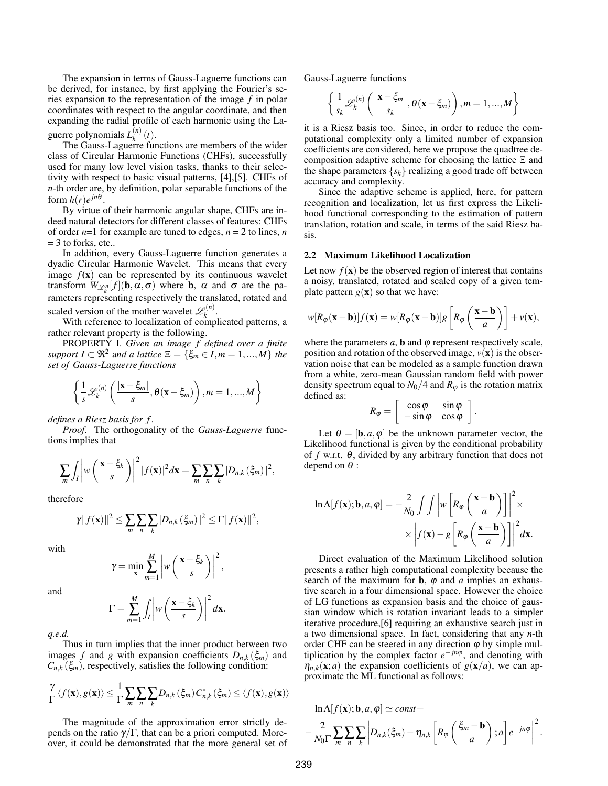The expansion in terms of Gauss-Laguerre functions can be derived, for instance, by first applying the Fourier's series expansion to the representation of the image *f* in polar coordinates with respect to the angular coordinate, and then expanding the radial profile of each harmonic using the Laguerre polynomials *L* (*n*)  $\binom{n}{k}$   $(t)$ .

The Gauss-Laguerre functions are members of the wider class of Circular Harmonic Functions (CHFs), successfully used for many low level vision tasks, thanks to their selectivity with respect to basic visual patterns, [4],[5]. CHFs of *n*-th order are, by definition, polar separable functions of the form  $h(r)e^{jn\theta}$ .

By virtue of their harmonic angular shape, CHFs are indeed natural detectors for different classes of features: CHFs of order *n*=1 for example are tuned to edges, *n* = 2 to lines, *n*  $=$  3 to forks, etc..

In addition, every Gauss-Laguerre function generates a dyadic Circular Harmonic Wavelet. This means that every image  $f(x)$  can be represented by its continuous wavelet transform  $W_{\mathscr{L}_k^n}[f](\mathbf{b}, \alpha, \sigma)$  where **b**,  $\alpha$  and  $\sigma$  are the parameters representing respectively the translated, rotated and scaled version of the mother wavelet  $\mathscr{L}_k^{(n)}$  $k^{(n)}$ .

With reference to localization of complicated patterns, a rather relevant property is the following.

PROPERTY I. *Given an image f defined over a finite*  $support I \subset \mathfrak{R}^2$  and a lattice  $\Xi = \{\xi_m \in I, m = 1, ..., M\}$  the *set of Gauss-Laguerre functions*

$$
\left\{\frac{1}{s}\mathscr{L}_k^{(n)}\left(\frac{|\mathbf{x}-\xi_m|}{s}, \theta(\mathbf{x}-\xi_m)\right), m=1,...,M\right\}
$$

*defines a Riesz basis for f* .

*Proof*. The orthogonality of the *Gauss-Laguerre* functions implies that

$$
\sum_{m} \int_{I} \left| w \left( \frac{\mathbf{x} - \xi_{k}}{s} \right) \right|^{2} |f(\mathbf{x})|^{2} d\mathbf{x} = \sum_{m} \sum_{n} \sum_{k} |D_{n,k}(\xi_{m})|^{2},
$$

therefore

$$
\gamma||f(\mathbf{x})||^2 \leq \sum_{m} \sum_{n} \sum_{k} |D_{n,k}(\xi_m)|^2 \leq \Gamma||f(\mathbf{x})||^2,
$$

with

$$
\gamma = \min_{\mathbf{x}} \sum_{m=1}^{M} \left| w \left( \frac{\mathbf{x} - \xi_k}{s} \right) \right|^2,
$$

and

$$
\Gamma = \sum_{m=1}^{M} \int_{I} \left| w \left( \frac{\mathbf{x} - \xi_{k}}{s} \right) \right|^{2} d\mathbf{x}.
$$

*q.e.d.*

Thus in turn implies that the inner product between two images *f* and *g* with expansion coefficients  $D_{n,k}(\xi_m)$  and  $C_{n,k}(\xi_m)$ , respectively, satisfies the following condition:

$$
\frac{\gamma}{\Gamma} \langle f(\mathbf{x}), g(\mathbf{x}) \rangle \leq \frac{1}{\Gamma} \sum_{m} \sum_{n} \sum_{k} D_{n,k} (\xi_m) C_{n,k}^* (\xi_m) \leq \langle f(\mathbf{x}), g(\mathbf{x}) \rangle
$$

The magnitude of the approximation error strictly depends on the ratio γ/Γ, that can be a priori computed. Moreover, it could be demonstrated that the more general set of Gauss-Laguerre functions

$$
\left\{\frac{1}{s_k}\mathscr{L}_k^{(n)}\left(\frac{|\mathbf{x}-\xi_m|}{s_k}, \theta(\mathbf{x}-\xi_m)\right), m=1,...,M\right\}
$$

it is a Riesz basis too. Since, in order to reduce the computational complexity only a limited number of expansion coefficients are considered, here we propose the quadtree decomposition adaptive scheme for choosing the lattice Ξ and the shape parameters  $\{s_k\}$  realizing a good trade off between accuracy and complexity.

Since the adaptive scheme is applied, here, for pattern recognition and localization, let us first express the Likelihood functional corresponding to the estimation of pattern translation, rotation and scale, in terms of the said Riesz basis.

## 2.2 Maximum Likelihood Localization

Let now  $f(\mathbf{x})$  be the observed region of interest that contains a noisy, translated, rotated and scaled copy of a given template pattern  $g(x)$  so that we have:

$$
w[R_{\varphi}(\mathbf{x} - \mathbf{b})]f(\mathbf{x}) = w[R_{\varphi}(\mathbf{x} - \mathbf{b})]g\left[R_{\varphi}\left(\frac{\mathbf{x} - \mathbf{b}}{a}\right)\right] + v(\mathbf{x}),
$$

where the parameters  $a$ , **b** and  $\varphi$  represent respectively scale, position and rotation of the observed image,  $v(\mathbf{x})$  is the observation noise that can be modeled as a sample function drawn from a white, zero-mean Gaussian random field with power density spectrum equal to  $N_0/4$  and  $R_\varphi$  is the rotation matrix defined as:

$$
R_{\varphi} = \left[ \begin{array}{cc} \cos \varphi & \sin \varphi \\ -\sin \varphi & \cos \varphi \end{array} \right].
$$

Let  $\theta = [\mathbf{b}, a, \varphi]$  be the unknown parameter vector, the Likelihood functional is given by the conditional probability of *f* w.r.t. θ, divided by any arbitrary function that does not depend on  $\theta$  :

$$
\ln \Lambda[f(\mathbf{x}); \mathbf{b}, a, \varphi] = -\frac{2}{N_0} \int \int \left| w \left[ R_{\varphi} \left( \frac{\mathbf{x} - \mathbf{b}}{a} \right) \right] \right|^2 \times \\ \times \left| f(\mathbf{x}) - g \left[ R_{\varphi} \left( \frac{\mathbf{x} - \mathbf{b}}{a} \right) \right] \right|^2 d\mathbf{x}.
$$

Direct evaluation of the Maximum Likelihood solution presents a rather high computational complexity because the search of the maximum for **b**,  $\varphi$  and *a* implies an exhaustive search in a four dimensional space. However the choice of LG functions as expansion basis and the choice of gaussian window which is rotation invariant leads to a simpler iterative procedure,[6] requiring an exhaustive search just in a two dimensional space. In fact, considering that any *n*-th order CHF can be steered in any direction  $\varphi$  by simple multiplication by the complex factor  $e^{-jn\varphi}$ , and denoting with  $\eta_{n,k}(\mathbf{x}; a)$  the expansion coefficients of  $g(\mathbf{x}/a)$ , we can approximate the ML functional as follows:

$$
\ln \Lambda[f(\mathbf{x}); \mathbf{b}, a, \varphi] \simeq const + \left[ R_{\varphi} \left( \frac{\xi_m - \mathbf{b}}{a} \right); a \right] e^{-jn\varphi} \right]^2.
$$
  

$$
-\frac{2}{N_0 \Gamma} \sum_{m} \sum_{n} \sum_{k} \left| D_{n,k}(\xi_m) - \eta_{n,k} \left[ R_{\varphi} \left( \frac{\xi_m - \mathbf{b}}{a} \right); a \right] e^{-jn\varphi} \right|^2.
$$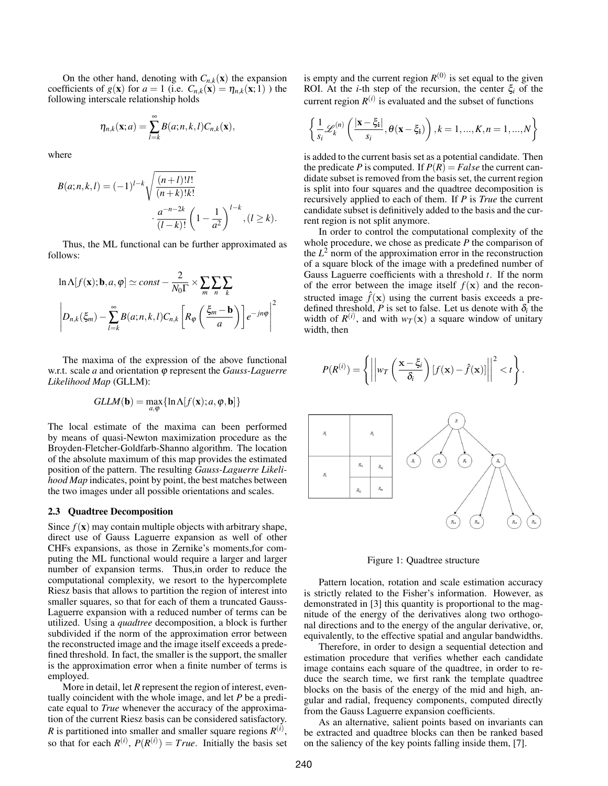On the other hand, denoting with  $C_{n,k}(x)$  the expansion coefficients of  $g(\mathbf{x})$  for  $a = 1$  (i.e.  $C_{n,k}(\mathbf{x}) = \eta_{n,k}(\mathbf{x}; 1)$ ) the following interscale relationship holds

$$
\eta_{n,k}(\mathbf{x};a) = \sum_{l=k}^{\infty} B(a;n,k,l)C_{n,k}(\mathbf{x}),
$$

where

$$
B(a; n, k, l) = (-1)^{l-k} \sqrt{\frac{(n+l)!l!}{(n+k)!k!}} \cdot \frac{a^{-n-2k}}{(l-k)!} \left(1 - \frac{1}{a^2}\right)^{l-k}, (l \ge k).
$$

Thus, the ML functional can be further approximated as follows:

$$
\ln \Lambda[f(\mathbf{x}); \mathbf{b}, a, \varphi] \simeq const - \frac{2}{N_0 \Gamma} \times \sum_{m} \sum_{n} \sum_{k}
$$

$$
\left| D_{n,k}(\xi_m) - \sum_{l=k}^{\infty} B(a; n, k, l) C_{n,k} \left[ R_{\varphi} \left( \frac{\xi_m - \mathbf{b}}{a} \right) \right] e^{-jn\varphi} \right|^2
$$

The maxima of the expression of the above functional w.r.t. scale *a* and orientation ϕ represent the *Gauss-Laguerre Likelihood Map* (GLLM):

$$
GLLM(\mathbf{b}) = \max_{a,\varphi} \{ \ln \Lambda[f(\mathbf{x}); a, \varphi, \mathbf{b}] \}
$$

The local estimate of the maxima can been performed by means of quasi-Newton maximization procedure as the Broyden-Fletcher-Goldfarb-Shanno algorithm. The location of the absolute maximum of this map provides the estimated position of the pattern. The resulting *Gauss-Laguerre Likelihood Map* indicates, point by point, the best matches between the two images under all possible orientations and scales.

#### 2.3 Quadtree Decomposition

Since  $f(\mathbf{x})$  may contain multiple objects with arbitrary shape, direct use of Gauss Laguerre expansion as well of other CHFs expansions, as those in Zernike's moments,for computing the ML functional would require a larger and larger number of expansion terms. Thus,in order to reduce the computational complexity, we resort to the hypercomplete Riesz basis that allows to partition the region of interest into smaller squares, so that for each of them a truncated Gauss-Laguerre expansion with a reduced number of terms can be utilized. Using a *quadtree* decomposition, a block is further subdivided if the norm of the approximation error between the reconstructed image and the image itself exceeds a predefined threshold. In fact, the smaller is the support, the smaller is the approximation error when a finite number of terms is employed.

More in detail, let *R* represent the region of interest, eventually coincident with the whole image, and let *P* be a predicate equal to *True* whenever the accuracy of the approximation of the current Riesz basis can be considered satisfactory. *R* is partitioned into smaller and smaller square regions  $R^{(i)}$ , so that for each  $R^{(i)}$ ,  $P(R^{(i)}) = True$ . Initially the basis set

is empty and the current region  $R^{(0)}$  is set equal to the given ROI. At the *i*-th step of the recursion, the center  $\xi$ <sup>*i*</sup> of the current region  $R^{(i)}$  is evaluated and the subset of functions

$$
\left\{\frac{1}{s_i}\mathscr{L}_k^{(n)}\left(\frac{|\mathbf{x}-\xi_i|}{s_i}, \theta(\mathbf{x}-\xi_i)\right), k=1,...,K, n=1,...,N\right\}
$$

is added to the current basis set as a potential candidate. Then the predicate *P* is computed. If  $P(R) = False$  the current candidate subset is removed from the basis set, the current region is split into four squares and the quadtree decomposition is recursively applied to each of them. If *P* is *True* the current candidate subset is definitively added to the basis and the current region is not split anymore.

In order to control the computational complexity of the whole procedure, we chose as predicate *P* the comparison of the  $L^2$  norm of the approximation error in the reconstruction of a square block of the image with a predefined number of Gauss Laguerre coefficients with a threshold *t*. If the norm of the error between the image itself  $f(\mathbf{x})$  and the reconstructed image  $\hat{f}(\mathbf{x})$  using the current basis exceeds a predefined threshold,  $P$  is set to false. Let us denote with  $\delta_i$  the width of  $R^{(i)}$ , and with  $w_T(\mathbf{x})$  a square window of unitary width, then



Figure 1: Quadtree structure

Pattern location, rotation and scale estimation accuracy is strictly related to the Fisher's information. However, as demonstrated in [3] this quantity is proportional to the magnitude of the energy of the derivatives along two orthogonal directions and to the energy of the angular derivative, or, equivalently, to the effective spatial and angular bandwidths.

Therefore, in order to design a sequential detection and estimation procedure that verifies whether each candidate image contains each square of the quadtree, in order to reduce the search time, we first rank the template quadtree blocks on the basis of the energy of the mid and high, angular and radial, frequency components, computed directly from the Gauss Laguerre expansion coefficients.

As an alternative, salient points based on invariants can be extracted and quadtree blocks can then be ranked based on the saliency of the key points falling inside them, [7].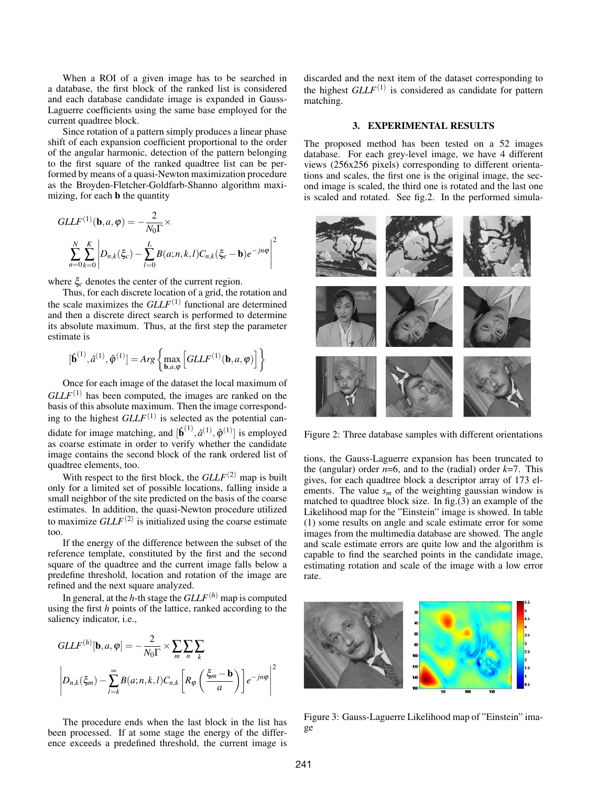When a ROI of a given image has to be searched in a database, the first block of the ranked list is considered and each database candidate image is expanded in Gauss-Laguerre coefficients using the same base employed for the current quadtree block.

Since rotation of a pattern simply produces a linear phase shift of each expansion coefficient proportional to the order of the angular harmonic, detection of the pattern belonging to the first square of the ranked quadtree list can be performed by means of a quasi-Newton maximization procedure as the Broyden-Fletcher-Goldfarb-Shanno algorithm maximizing, for each b the quantity

$$
GLLF^{(1)}(\mathbf{b}, a, \varphi) = -\frac{2}{N_0 \Gamma} \times
$$

$$
\sum_{n=0}^{N} \sum_{k=0}^{K} \left| D_{n,k}(\xi_c) - \sum_{l=0}^{L} B(a; n, k, l) C_{n,k}(\xi_c - \mathbf{b}) e^{-jn\varphi} \right|^2
$$

where ξ*<sup>c</sup>* denotes the center of the current region.

Thus, for each discrete location of a grid, the rotation and the scale maximizes the *GLLF*(1) functional are determined and then a discrete direct search is performed to determine its absolute maximum. Thus, at the first step the parameter estimate is

$$
[\hat{\mathbf{b}}^{(1)}, \hat{a}^{(1)}, \hat{\boldsymbol{\varphi}}^{(1)}] = Arg \left\{ \max_{\mathbf{b}, a, \boldsymbol{\varphi}} \left[ GLLF^{(1)}(\mathbf{b}, a, \boldsymbol{\varphi}) \right] \right\}
$$

Once for each image of the dataset the local maximum of  $GLLF<sup>(1)</sup>$  has been computed, the images are ranked on the basis of this absolute maximum. Then the image corresponding to the highest  $GLLF^{(1)}$  is selected as the potential candidate for image matching, and  $[\hat{\mathbf{b}}^{(1)}, \hat{a}^{(1)}, \hat{\boldsymbol{\phi}}^{(1)}]$  is employed as coarse estimate in order to verify whether the candidate image contains the second block of the rank ordered list of quadtree elements, too.

With respect to the first block, the  $GLLF<sup>(2)</sup>$  map is built only for a limited set of possible locations, falling inside a small neighbor of the site predicted on the basis of the coarse estimates. In addition, the quasi-Newton procedure utilized to maximize  $GLLF<sup>(2)</sup>$  is initialized using the coarse estimate too.

If the energy of the difference between the subset of the reference template, constituted by the first and the second square of the quadtree and the current image falls below a predefine threshold, location and rotation of the image are refined and the next square analyzed.

In general, at the *h*-th stage the  $GLLF<sup>(h)</sup>$  map is computed using the first *h* points of the lattice, ranked according to the saliency indicator, i.e.,

$$
GLL^{(h)}[\mathbf{b}, a, \varphi] = -\frac{2}{N_0 \Gamma} \times \sum_{m} \sum_{n} \sum_{k}
$$

$$
\left| D_{n,k}(\xi_m) - \sum_{l=k}^{\infty} B(a; n, k, l) C_{n,k} \left[ R_{\varphi} \left( \frac{\xi_m - \mathbf{b}}{a} \right) \right] e^{-jn\varphi} \right|^2
$$

The procedure ends when the last block in the list has been processed. If at some stage the energy of the difference exceeds a predefined threshold, the current image is discarded and the next item of the dataset corresponding to the highest *GLLF*<sup>(1)</sup> is considered as candidate for pattern matching.

## 3. EXPERIMENTAL RESULTS

The proposed method has been tested on a 52 images database. For each grey-level image, we have 4 different views (256x256 pixels) corresponding to different orientations and scales, the first one is the original image, the second image is scaled, the third one is rotated and the last one is scaled and rotated. See fig.2. In the performed simula-



Figure 2: Three database samples with different orientations

tions, the Gauss-Laguerre expansion has been truncated to the (angular) order  $n=6$ , and to the (radial) order  $k=7$ . This gives, for each quadtree block a descriptor array of 173 elements. The value  $s_m$  of the weighting gaussian window is matched to quadtree block size. In fig.(3) an example of the Likelihood map for the "Einstein" image is showed. In table (1) some results on angle and scale estimate error for some images from the multimedia database are showed. The angle and scale estimate errors are quite low and the algorithm is capable to find the searched points in the candidate image, estimating rotation and scale of the image with a low error rate.



Figure 3: Gauss-Laguerre Likelihood map of "Einstein" image